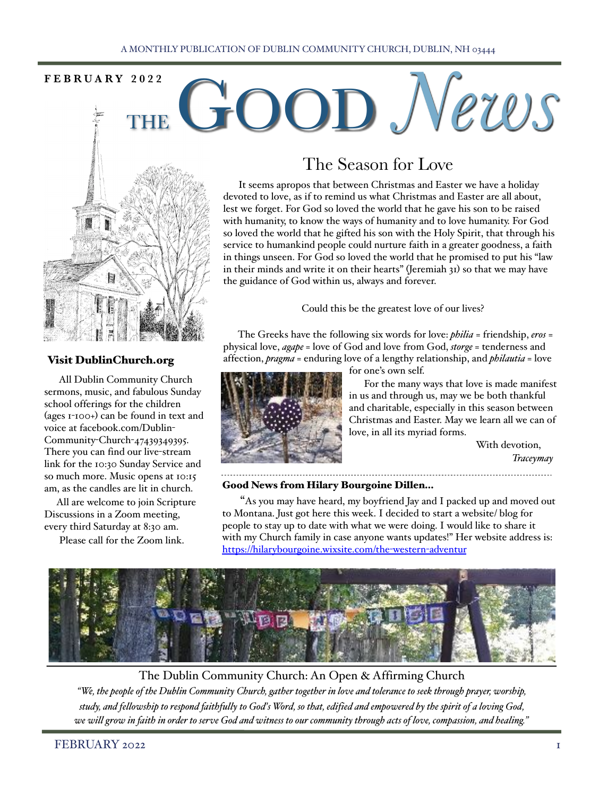# FEBRUARY 2022 **COOD** News



## Visit DublinChurch.org

 All Dublin Community Church sermons, music, and fabulous Sunday school offerings for the children (ages 1-100+) can be found in text and voice at facebook.com/Dublin-Community-Church-47439349395. There you can find our live-stream link for the 10:30 Sunday Service and so much more. Music opens at 10:15 am, as the candles are lit in church.

 All are welcome to join Scripture Discussions in a Zoom meeting, every third Saturday at 8:30 am.

Please call for the Zoom link.

# The Season for Love

 It seems apropos that between Christmas and Easter we have a holiday devoted to love, as if to remind us what Christmas and Easter are all about, lest we forget. For God so loved the world that he gave his son to be raised with humanity, to know the ways of humanity and to love humanity. For God so loved the world that he gifted his son with the Holy Spirit, that through his service to humankind people could nurture faith in a greater goodness, a faith in things unseen. For God so loved the world that he promised to put his "law in their minds and write it on their hearts" (Jeremiah 31) so that we may have the guidance of God within us, always and forever.

Could this be the greatest love of our lives?

 The Greeks have the following six words for love: *philia* = friendship, *eros* = physical love, *agape* = love of God and love from God, *storge* = tenderness and affection, *pragma* = enduring love of a lengthy relationship, and *philautia* = love



for one's own self.

 For the many ways that love is made manifest in us and through us, may we be both thankful and charitable, especially in this season between Christmas and Easter. May we learn all we can of love, in all its myriad forms.

> With devotion, *Traceymay*

## Good News from Hilary Bourgoine Dillen…

 "As you may have heard, my boyfriend Jay and I packed up and moved out to Montana. Just got here this week. I decided to start a website/ blog for people to stay up to date with what we were doing. I would like to share it with my Church family in case anyone wants updates!" Her website address is: [https://hilarybourgoine.wixsite.com/the](https://hilarybourgoine.wixsite.com/the-western-adventur)-western-adventur



The Dublin Community Church: An Open & Affirming Church

*"We, the people of the Dublin Community Church, gather together in love and tolerance to seek through prayer, worship, study, and fellowship to respond faithfully to God's Word, so that, edified and empowered by the spirit of a loving God, we will grow in faith in order to serve God and witness to our community through acts of love, compassion, and healing."*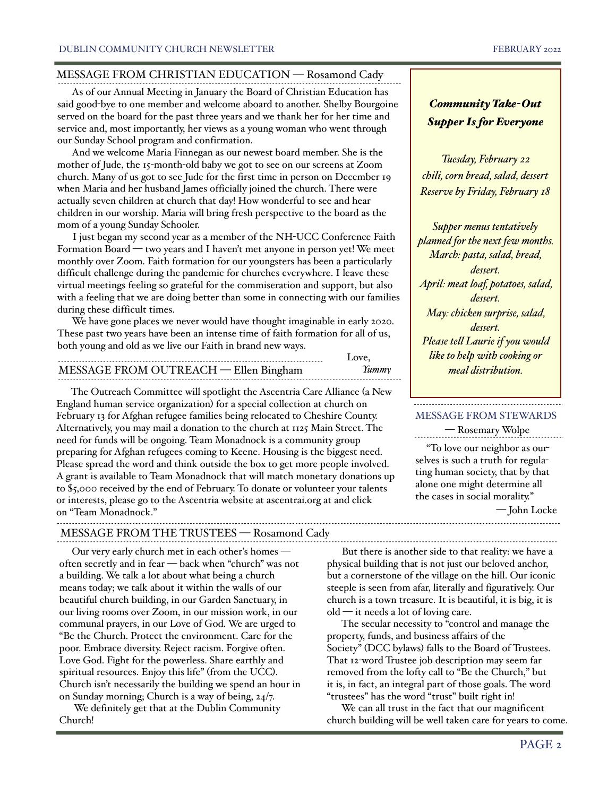## MESSAGE FROM CHRISTIAN EDUCATION — Rosamond Cady

 As of our Annual Meeting in January the Board of Christian Education has said good-bye to one member and welcome aboard to another. Shelby Bourgoine served on the board for the past three years and we thank her for her time and service and, most importantly, her views as a young woman who went through our Sunday School program and confirmation.

 And we welcome Maria Finnegan as our newest board member. She is the mother of Jude, the 15-month-old baby we got to see on our screens at Zoom church. Many of us got to see Jude for the first time in person on December 19 when Maria and her husband James officially joined the church. There were actually seven children at church that day! How wonderful to see and hear children in our worship. Maria will bring fresh perspective to the board as the mom of a young Sunday Schooler.

 I just began my second year as a member of the NH-UCC Conference Faith Formation Board — two years and I haven't met anyone in person yet! We meet monthly over Zoom. Faith formation for our youngsters has been a particularly difficult challenge during the pandemic for churches everywhere. I leave these virtual meetings feeling so grateful for the commiseration and support, but also with a feeling that we are doing better than some in connecting with our families during these difficult times.

 We have gone places we never would have thought imaginable in early 2020. These past two years have been an intense time of faith formation for all of us, both young and old as we live our Faith in brand new ways.

| MESSAGE FROM OUTREACH — Ellen Bingham |  |
|---------------------------------------|--|

 The Outreach Committee will spotlight the Ascentria Care Alliance (a New England human service organization) for a special collection at church on February 13 for Afghan refugee families being relocated to Cheshire County. Alternatively, you may mail a donation to the church at 1125 Main Street. The need for funds will be ongoing. Team Monadnock is a community group preparing for Afghan refugees coming to Keene. Housing is the biggest need. Please spread the word and think outside the box to get more people involved. A grant is available to Team Monadnock that will match monetary donations up to \$5,000 received by the end of February. To donate or volunteer your talents or interests, please go to the Ascentria website at ascentrai.org at and click on "Team Monadnock."

MESSAGE FROM THE TRUSTEES — Rosamond Cady

Our very early church met in each other's homes often secretly and in fear — back when "church" was not a building. We talk a lot about what being a church means today; we talk about it within the walls of our beautiful church building, in our Garden Sanctuary, in our living rooms over Zoom, in our mission work, in our communal prayers, in our Love of God. We are urged to "Be the Church. Protect the environment. Care for the poor. Embrace diversity. Reject racism. Forgive often. Love God. Fight for the powerless. Share earthly and spiritual resources. Enjoy this life" (from the UCC). Church isn't necessarily the building we spend an hour in on Sunday morning; Church is a way of being, 24/7.

 We definitely get that at the Dublin Community Church!

*Community Take-Out Supper Is for Everyone*

*Tuesday, February 22 chili, corn bread, salad, dessert Reserve by Friday, February 18*

*Supper menus tentatively planned for the next few months. March: pasta, salad, bread, dessert. April: meat loaf, potatoes, salad, dessert. May: chicken surprise, salad, dessert. Please tell Laurie if you would like to help with cooking or meal distribution.*

### MESSAGE FROM STEWARDS

— Rosemary Wolpe

 "To love our neighbor as ourselves is such a truth for regulating human society, that by that alone one might determine all the cases in social morality."

— John Locke

 But there is another side to that reality: we have a physical building that is not just our beloved anchor, but a cornerstone of the village on the hill. Our iconic steeple is seen from afar, literally and figuratively. Our church is a town treasure. It is beautiful, it is big, it is old — it needs a lot of loving care.

 $\sim$ 

 The secular necessity to "control and manage the property, funds, and business affairs of the Society" (DCC bylaws) falls to the Board of Trustees. That 12-word Trustee job description may seem far removed from the lofty call to "Be the Church," but it is, in fact, an integral part of those goals. The word "trustees" has the word "trust" built right in!

 We can all trust in the fact that our magnificent church building will be well taken care for years to come.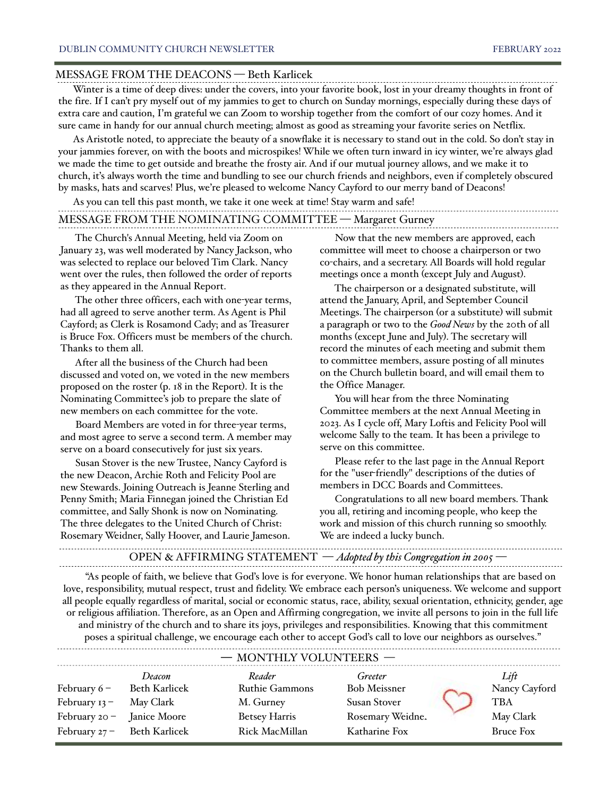#### MESSAGE FROM THE DEACONS — Beth Karlicek

 Winter is a time of deep dives: under the covers, into your favorite book, lost in your dreamy thoughts in front of the fire. If I can't pry myself out of my jammies to get to church on Sunday mornings, especially during these days of extra care and caution, I'm grateful we can Zoom to worship together from the comfort of our cozy homes. And it sure came in handy for our annual church meeting; almost as good as streaming your favorite series on Netflix.

 As Aristotle noted, to appreciate the beauty of a snowflake it is necessary to stand out in the cold. So don't stay in your jammies forever, on with the boots and microspikes! While we often turn inward in icy winter, we're always glad we made the time to get outside and breathe the frosty air. And if our mutual journey allows, and we make it to church, it's always worth the time and bundling to see our church friends and neighbors, even if completely obscured by masks, hats and scarves! Plus, we're pleased to welcome Nancy Cayford to our merry band of Deacons!

| As you can tell this past month, we take it one week at time! Stay warm and safe! |  |
|-----------------------------------------------------------------------------------|--|
| MESSAGE FROM THE NOMINATING COMMITTEE - Margaret Gurney                           |  |

 The Church's Annual Meeting, held via Zoom on January 23, was well moderated by Nancy Jackson, who was selected to replace our beloved Tim Clark. Nancy went over the rules, then followed the order of reports as they appeared in the Annual Report.

 The other three officers, each with one-year terms, had all agreed to serve another term. As Agent is Phil Cayford; as Clerk is Rosamond Cady; and as Treasurer is Bruce Fox. Officers must be members of the church. Thanks to them all.

 After all the business of the Church had been discussed and voted on, we voted in the new members proposed on the roster (p. 18 in the Report). It is the Nominating Committee's job to prepare the slate of new members on each committee for the vote.

 Board Members are voted in for three-year terms, and most agree to serve a second term. A member may serve on a board consecutively for just six years.

 Susan Stover is the new Trustee, Nancy Cayford is the new Deacon, Archie Roth and Felicity Pool are new Stewards. Joining Outreach is Jeanne Sterling and Penny Smith; Maria Finnegan joined the Christian Ed committee, and Sally Shonk is now on Nominating. The three delegates to the United Church of Christ: Rosemary Weidner, Sally Hoover, and Laurie Jameson.

 Now that the new members are approved, each committee will meet to choose a chairperson or two co-chairs, and a secretary. All Boards will hold regular meetings once a month (except July and August).

 The chairperson or a designated substitute, will attend the January, April, and September Council Meetings. The chairperson (or a substitute) will submit a paragraph or two to the *Good News* by the 20th of all months (except June and July). The secretary will record the minutes of each meeting and submit them to committee members, assure posting of all minutes on the Church bulletin board, and will email them to the Office Manager.

 You will hear from the three Nominating Committee members at the next Annual Meeting in 2023. As I cycle off, Mary Loftis and Felicity Pool will welcome Sally to the team. It has been a privilege to serve on this committee.

 Please refer to the last page in the Annual Report for the "user-friendly" descriptions of the duties of members in DCC Boards and Committees.

 Congratulations to all new board members. Thank you all, retiring and incoming people, who keep the work and mission of this church running so smoothly. We are indeed a lucky bunch.

## OPEN & AFFIRMING STATEMENT — *Adopted by this Congregation in 2005* —

 "As people of faith, we believe that God's love is for everyone. We honor human relationships that are based on love, responsibility, mutual respect, trust and fidelity. We embrace each person's uniqueness. We welcome and support all people equally regardless of marital, social or economic status, race, ability, sexual orientation, ethnicity, gender, age or religious affiliation. Therefore, as an Open and Affirming congregation, we invite all persons to join in the full life and ministry of the church and to share its joys, privileges and responsibilities. Knowing that this commitment poses a spiritual challenge, we encourage each other to accept God's call to love our neighbors as ourselves."

|                            |                             |                        |                     | Lift<br>Nancy Cayford |                  |
|----------------------------|-----------------------------|------------------------|---------------------|-----------------------|------------------|
|                            |                             | - MONTHLY VOLUNTEERS - |                     |                       |                  |
|                            | Deacon                      | Reader                 | Greeter             |                       |                  |
| February $6 -$             | Beth Karlicek               | <b>Ruthie Gammons</b>  | <b>Bob Meissner</b> |                       |                  |
| February $13 -$            | May Clark                   | M. Gurney              | Susan Stover        |                       | <b>TBA</b>       |
| February 20 - Janice Moore |                             | <b>Betsey Harris</b>   | Rosemary Weidne.    |                       | May Clark        |
|                            | February 27 - Beth Karlicek | Rick MacMillan         | Katharine Fox       |                       | <b>Bruce Fox</b> |